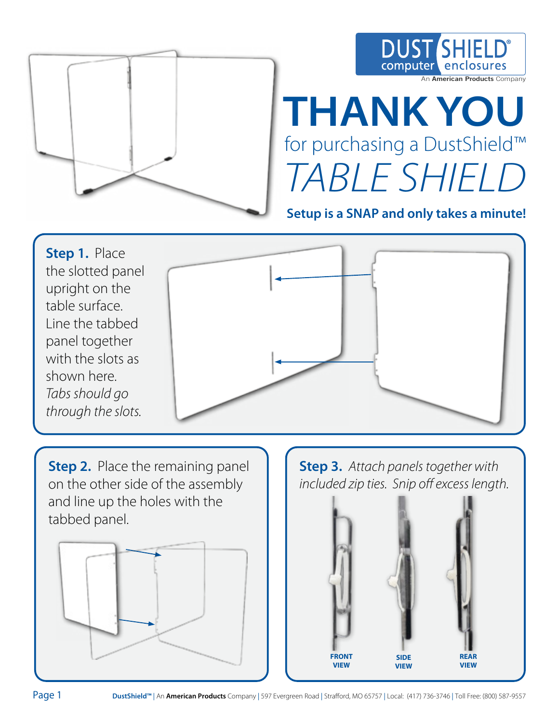

## **DUST SHIEL** enclos computer An **American Products** Company

## **THANK YOU**  for purchasing a DustShield™ TABLE SHIELD

**Setup is a SNAP and only takes a minute!**



**Step 2.** Place the remaining panel on the other side of the assembly and line up the holes with the tabbed panel.



**Step 3.** Attach panels together with included zip ties. Snip off excess length.